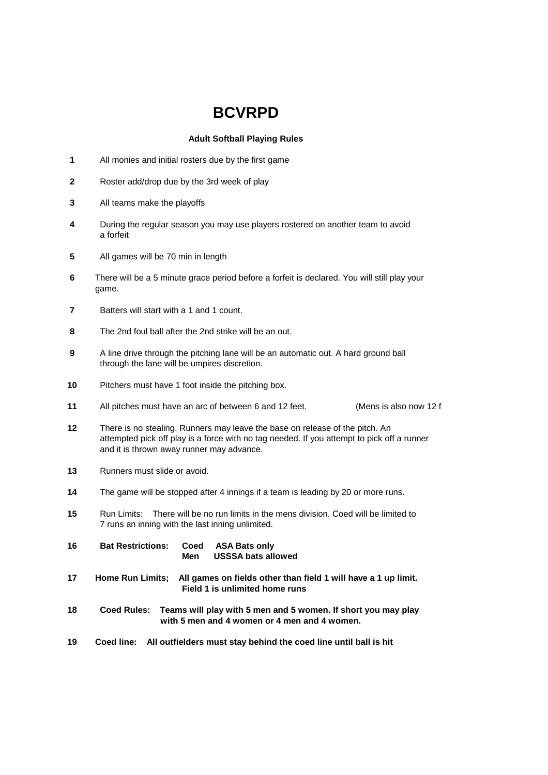## **BCVRPD**

## **Adult Softball Playing Rules**

- All monies and initial rosters due by the first game
- Roster add/drop due by the 3rd week of play
- All teams make the playoffs
- During the regular season you may use players rostered on another team to avoid a forfeit
- All games will be 70 min in length
- There will be a 5 minute grace period before a forfeit is declared. You will still play your game.
- Batters will start with a 1 and 1 count.
- The 2nd foul ball after the 2nd strike will be an out.
- A line drive through the pitching lane will be an automatic out. A hard ground ball through the lane will be umpires discretion.
- Pitchers must have 1 foot inside the pitching box.
- All pitches must have an arc of between 6 and 12 feet. (Mens is also now 12 ft.)
- There is no stealing. Runners may leave the base on release of the pitch. An attempted pick off play is a force with no tag needed. If you attempt to pick off a runner and it is thrown away runner may advance.
- Runners must slide or avoid.
- The game will be stopped after 4 innings if a team is leading by 20 or more runs.
- Run Limits: There will be no run limits in the mens division. Coed will be limited to 7 runs an inning with the last inning unlimited.
- **Bat Restrictions: Coed ASA Bats only Men USSSA bats allowed**
- **Home Run Limits; All games on fields other than field 1 will have a 1 up limit. Field 1 is unlimited home runs**
- **Coed Rules: Teams will play with 5 men and 5 women. If short you may play with 5 men and 4 women or 4 men and 4 women.**
- **Coed line: All outfielders must stay behind the coed line until ball is hit**